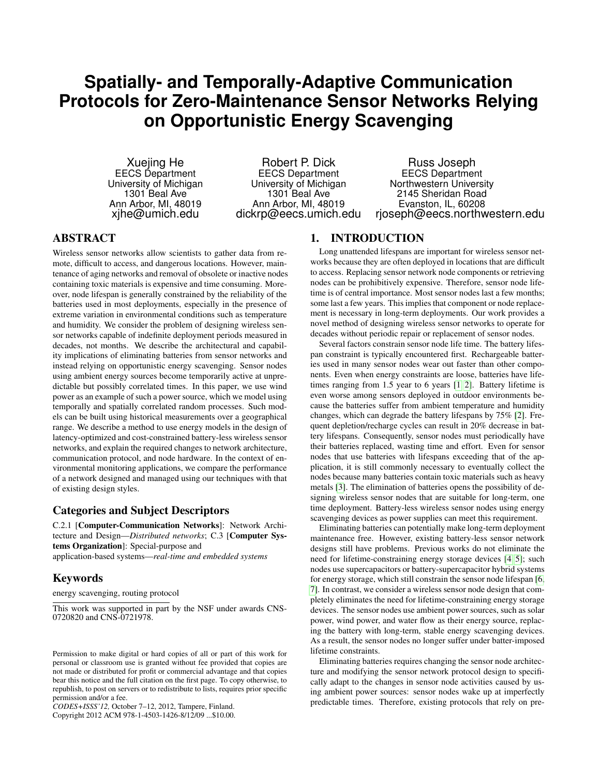# **Spatially- and Temporally-Adaptive Communication Protocols for Zero-Maintenance Sensor Networks Relying on Opportunistic Energy Scavenging**

Xuejing He EECS Department University of Michigan 1301 Beal Ave Ann Arbor, MI, 48019 xjhe@umich.edu

Robert P. Dick EECS Department University of Michigan 1301 Beal Ave Ann Arbor, MI, 48019 dickrp@eecs.umich.edu

Russ Joseph EECS Department Northwestern University 2145 Sheridan Road Evanston, IL, 60208 rjoseph@eecs.northwestern.edu

# ABSTRACT

Wireless sensor networks allow scientists to gather data from remote, difficult to access, and dangerous locations. However, maintenance of aging networks and removal of obsolete or inactive nodes containing toxic materials is expensive and time consuming. Moreover, node lifespan is generally constrained by the reliability of the batteries used in most deployments, especially in the presence of extreme variation in environmental conditions such as temperature and humidity. We consider the problem of designing wireless sensor networks capable of indefinite deployment periods measured in decades, not months. We describe the architectural and capability implications of eliminating batteries from sensor networks and instead relying on opportunistic energy scavenging. Sensor nodes using ambient energy sources become temporarily active at unpredictable but possibly correlated times. In this paper, we use wind power as an example of such a power source, which we model using temporally and spatially correlated random processes. Such models can be built using historical measurements over a geographical range. We describe a method to use energy models in the design of latency-optimized and cost-constrained battery-less wireless sensor networks, and explain the required changes to network architecture, communication protocol, and node hardware. In the context of environmental monitoring applications, we compare the performance of a network designed and managed using our techniques with that of existing design styles.

## Categories and Subject Descriptors

C.2.1 [Computer-Communication Networks]: Network Architecture and Design—*Distributed networks*; C.3 [Computer Systems Organization]: Special-purpose and

application-based systems—*real-time and embedded systems*

## Keywords

energy scavenging, routing protocol

This work was supported in part by the NSF under awards CNS-0720820 and CNS-0721978.

*CODES+ISSS'12,* October 7–12, 2012, Tampere, Finland. Copyright 2012 ACM 978-1-4503-1426-8/12/09 ...\$10.00.

# 1. INTRODUCTION

Long unattended lifespans are important for wireless sensor networks because they are often deployed in locations that are difficult to access. Replacing sensor network node components or retrieving nodes can be prohibitively expensive. Therefore, sensor node lifetime is of central importance. Most sensor nodes last a few months; some last a few years. This implies that component or node replacement is necessary in long-term deployments. Our work provides a novel method of designing wireless sensor networks to operate for decades without periodic repair or replacement of sensor nodes.

Several factors constrain sensor node life time. The battery lifespan constraint is typically encountered first. Rechargeable batteries used in many sensor nodes wear out faster than other components. Even when energy constraints are loose, batteries have lifetimes ranging from 1.5 year to 6 years [\[1,](#page-9-0) [2\]](#page-9-1). Battery lifetime is even worse among sensors deployed in outdoor environments because the batteries suffer from ambient temperature and humidity changes, which can degrade the battery lifespans by 75% [\[2\]](#page-9-1). Frequent depletion/recharge cycles can result in 20% decrease in battery lifespans. Consequently, sensor nodes must periodically have their batteries replaced, wasting time and effort. Even for sensor nodes that use batteries with lifespans exceeding that of the application, it is still commonly necessary to eventually collect the nodes because many batteries contain toxic materials such as heavy metals [\[3\]](#page-9-2). The elimination of batteries opens the possibility of designing wireless sensor nodes that are suitable for long-term, one time deployment. Battery-less wireless sensor nodes using energy scavenging devices as power supplies can meet this requirement.

Eliminating batteries can potentially make long-term deployment maintenance free. However, existing battery-less sensor network designs still have problems. Previous works do not eliminate the need for lifetime-constraining energy storage devices [\[4,](#page-9-3) [5\]](#page-9-4); such nodes use supercapacitors or battery-supercapacitor hybrid systems for energy storage, which still constrain the sensor node lifespan [\[6,](#page-9-5) [7\]](#page-9-6). In contrast, we consider a wireless sensor node design that completely eliminates the need for lifetime-constraining energy storage devices. The sensor nodes use ambient power sources, such as solar power, wind power, and water flow as their energy source, replacing the battery with long-term, stable energy scavenging devices. As a result, the sensor nodes no longer suffer under batter-imposed lifetime constraints.

Eliminating batteries requires changing the sensor node architecture and modifying the sensor network protocol design to specifically adapt to the changes in sensor node activities caused by using ambient power sources: sensor nodes wake up at imperfectly predictable times. Therefore, existing protocols that rely on pre-

Permission to make digital or hard copies of all or part of this work for personal or classroom use is granted without fee provided that copies are not made or distributed for profit or commercial advantage and that copies bear this notice and the full citation on the first page. To copy otherwise, to republish, to post on servers or to redistribute to lists, requires prior specific permission and/or a fee.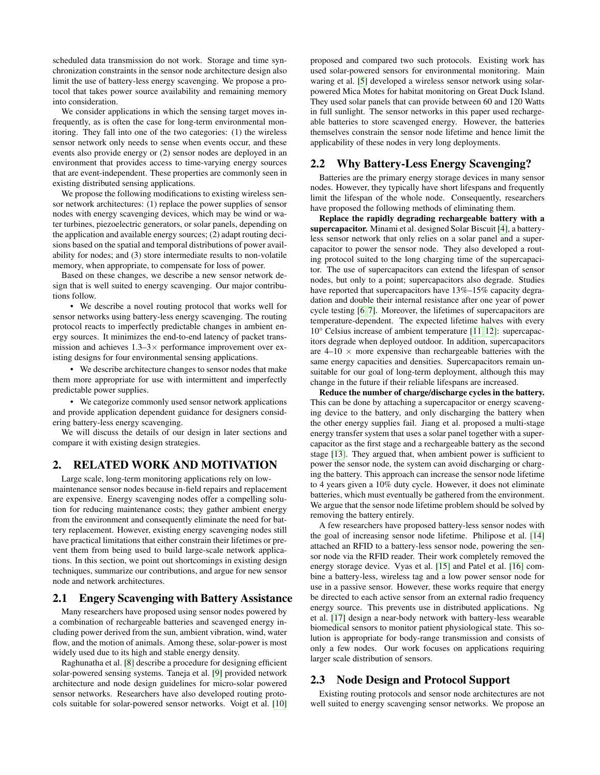scheduled data transmission do not work. Storage and time synchronization constraints in the sensor node architecture design also limit the use of battery-less energy scavenging. We propose a protocol that takes power source availability and remaining memory into consideration.

We consider applications in which the sensing target moves infrequently, as is often the case for long-term environmental monitoring. They fall into one of the two categories: (1) the wireless sensor network only needs to sense when events occur, and these events also provide energy or (2) sensor nodes are deployed in an environment that provides access to time-varying energy sources that are event-independent. These properties are commonly seen in existing distributed sensing applications.

We propose the following modifications to existing wireless sensor network architectures: (1) replace the power supplies of sensor nodes with energy scavenging devices, which may be wind or water turbines, piezoelectric generators, or solar panels, depending on the application and available energy sources; (2) adapt routing decisions based on the spatial and temporal distributions of power availability for nodes; and (3) store intermediate results to non-volatile memory, when appropriate, to compensate for loss of power.

Based on these changes, we describe a new sensor network design that is well suited to energy scavenging. Our major contributions follow.

• We describe a novel routing protocol that works well for sensor networks using battery-less energy scavenging. The routing protocol reacts to imperfectly predictable changes in ambient energy sources. It minimizes the end-to-end latency of packet transmission and achieves  $1.3-3\times$  performance improvement over existing designs for four environmental sensing applications.

• We describe architecture changes to sensor nodes that make them more appropriate for use with intermittent and imperfectly predictable power supplies.

• We categorize commonly used sensor network applications and provide application dependent guidance for designers considering battery-less energy scavenging.

We will discuss the details of our design in later sections and compare it with existing design strategies.

## 2. RELATED WORK AND MOTIVATION

Large scale, long-term monitoring applications rely on lowmaintenance sensor nodes because in-field repairs and replacement are expensive. Energy scavenging nodes offer a compelling solution for reducing maintenance costs; they gather ambient energy from the environment and consequently eliminate the need for battery replacement. However, existing energy scavenging nodes still have practical limitations that either constrain their lifetimes or prevent them from being used to build large-scale network applications. In this section, we point out shortcomings in existing design techniques, summarize our contributions, and argue for new sensor node and network architectures.

#### 2.1 Engery Scavenging with Battery Assistance

Many researchers have proposed using sensor nodes powered by a combination of rechargeable batteries and scavenged energy including power derived from the sun, ambient vibration, wind, water flow, and the motion of animals. Among these, solar-power is most widely used due to its high and stable energy density.

Raghunatha et al. [\[8\]](#page-9-7) describe a procedure for designing efficient solar-powered sensing systems. Taneja et al. [\[9\]](#page-9-8) provided network architecture and node design guidelines for micro-solar powered sensor networks. Researchers have also developed routing protocols suitable for solar-powered sensor networks. Voigt et al. [\[10\]](#page-9-9) proposed and compared two such protocols. Existing work has used solar-powered sensors for environmental monitoring. Main waring et al. [\[5\]](#page-9-4) developed a wireless sensor network using solarpowered Mica Motes for habitat monitoring on Great Duck Island. They used solar panels that can provide between 60 and 120 Watts in full sunlight. The sensor networks in this paper used rechargeable batteries to store scavenged energy. However, the batteries themselves constrain the sensor node lifetime and hence limit the applicability of these nodes in very long deployments.

#### 2.2 Why Battery-Less Energy Scavenging?

Batteries are the primary energy storage devices in many sensor nodes. However, they typically have short lifespans and frequently limit the lifespan of the whole node. Consequently, researchers have proposed the following methods of eliminating them.

Replace the rapidly degrading rechargeable battery with a supercapacitor. Minami et al. designed Solar Biscuit [\[4\]](#page-9-3), a batteryless sensor network that only relies on a solar panel and a supercapacitor to power the sensor node. They also developed a routing protocol suited to the long charging time of the supercapacitor. The use of supercapacitors can extend the lifespan of sensor nodes, but only to a point; supercapacitors also degrade. Studies have reported that supercapacitors have 13%–15% capacity degradation and double their internal resistance after one year of power cycle testing [\[6,](#page-9-5) [7\]](#page-9-6). Moreover, the lifetimes of supercapacitors are temperature-dependent. The expected lifetime halves with every 10° Celsius increase of ambient temperature [\[11,](#page-9-10) [12\]](#page-9-11): supercapacitors degrade when deployed outdoor. In addition, supercapacitors are  $4-10 \times$  more expensive than rechargeable batteries with the same energy capacities and densities. Supercapacitors remain unsuitable for our goal of long-term deployment, although this may change in the future if their reliable lifespans are increased.

Reduce the number of charge/discharge cycles in the battery. This can be done by attaching a supercapacitor or energy scavenging device to the battery, and only discharging the battery when the other energy supplies fail. Jiang et al. proposed a multi-stage energy transfer system that uses a solar panel together with a supercapacitor as the first stage and a rechargeable battery as the second stage [\[13\]](#page-9-12). They argued that, when ambient power is sufficient to power the sensor node, the system can avoid discharging or charging the battery. This approach can increase the sensor node lifetime to 4 years given a 10% duty cycle. However, it does not eliminate batteries, which must eventually be gathered from the environment. We argue that the sensor node lifetime problem should be solved by removing the battery entirely.

A few researchers have proposed battery-less sensor nodes with the goal of increasing sensor node lifetime. Philipose et al. [\[14\]](#page-9-13) attached an RFID to a battery-less sensor node, powering the sensor node via the RFID reader. Their work completely removed the energy storage device. Vyas et al. [\[15\]](#page-9-14) and Patel et al. [\[16\]](#page-9-15) combine a battery-less, wireless tag and a low power sensor node for use in a passive sensor. However, these works require that energy be directed to each active sensor from an external radio frequency energy source. This prevents use in distributed applications. Ng et al. [\[17\]](#page-9-16) design a near-body network with battery-less wearable biomedical sensors to monitor patient physiological state. This solution is appropriate for body-range transmission and consists of only a few nodes. Our work focuses on applications requiring larger scale distribution of sensors.

## 2.3 Node Design and Protocol Support

Existing routing protocols and sensor node architectures are not well suited to energy scavenging sensor networks. We propose an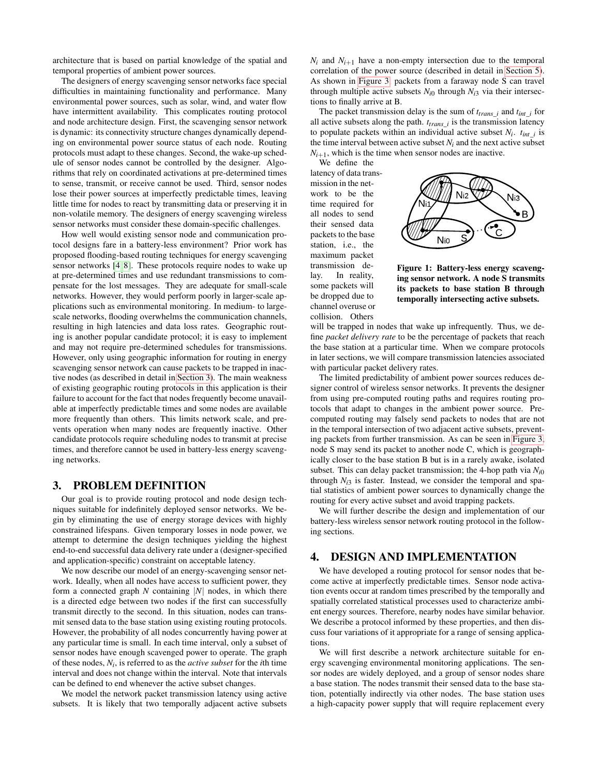architecture that is based on partial knowledge of the spatial and temporal properties of ambient power sources.

The designers of energy scavenging sensor networks face special difficulties in maintaining functionality and performance. Many environmental power sources, such as solar, wind, and water flow have intermittent availability. This complicates routing protocol and node architecture design. First, the scavenging sensor network is dynamic: its connectivity structure changes dynamically depending on environmental power source status of each node. Routing protocols must adapt to these changes. Second, the wake-up schedule of sensor nodes cannot be controlled by the designer. Algorithms that rely on coordinated activations at pre-determined times to sense, transmit, or receive cannot be used. Third, sensor nodes lose their power sources at imperfectly predictable times, leaving little time for nodes to react by transmitting data or preserving it in non-volatile memory. The designers of energy scavenging wireless sensor networks must consider these domain-specific challenges.

How well would existing sensor node and communication protocol designs fare in a battery-less environment? Prior work has proposed flooding-based routing techniques for energy scavenging sensor networks [\[4,](#page-9-3) [8\]](#page-9-7). These protocols require nodes to wake up at pre-determined times and use redundant transmissions to compensate for the lost messages. They are adequate for small-scale networks. However, they would perform poorly in larger-scale applications such as environmental monitoring. In medium- to largescale networks, flooding overwhelms the communication channels, resulting in high latencies and data loss rates. Geographic routing is another popular candidate protocol; it is easy to implement and may not require pre-determined schedules for transmissions. However, only using geographic information for routing in energy scavenging sensor network can cause packets to be trapped in inactive nodes (as described in detail in [Section 3\)](#page-2-0). The main weakness of existing geographic routing protocols in this application is their failure to account for the fact that nodes frequently become unavailable at imperfectly predictable times and some nodes are available more frequently than others. This limits network scale, and prevents operation when many nodes are frequently inactive. Other candidate protocols require scheduling nodes to transmit at precise times, and therefore cannot be used in battery-less energy scavenging networks.

## <span id="page-2-0"></span>3. PROBLEM DEFINITION

Our goal is to provide routing protocol and node design techniques suitable for indefinitely deployed sensor networks. We begin by eliminating the use of energy storage devices with highly constrained lifespans. Given temporary losses in node power, we attempt to determine the design techniques yielding the highest end-to-end successful data delivery rate under a (designer-specified and application-specific) constraint on acceptable latency.

We now describe our model of an energy-scavenging sensor network. Ideally, when all nodes have access to sufficient power, they form a connected graph *N* containing |*N*| nodes, in which there is a directed edge between two nodes if the first can successfully transmit directly to the second. In this situation, nodes can transmit sensed data to the base station using existing routing protocols. However, the probability of all nodes concurrently having power at any particular time is small. In each time interval, only a subset of sensor nodes have enough scavenged power to operate. The graph of these nodes, *N<sup>i</sup>* , is referred to as the *active subset* for the *i*th time interval and does not change within the interval. Note that intervals can be defined to end whenever the active subset changes.

We model the network packet transmission latency using active subsets. It is likely that two temporally adjacent active subsets

 $N_i$  and  $N_{i+1}$  have a non-empty intersection due to the temporal correlation of the power source (described in detail in [Section 5\)](#page-4-0). As shown in [Figure 3,](#page-2-1) packets from a faraway node S can travel through multiple active subsets  $N_{i0}$  through  $N_{i3}$  via their intersections to finally arrive at B.

The packet transmission delay is the sum of  $t_{trans\_i}$  and  $t_{int\_i}$  for all active subsets along the path. *ttrans*\_*<sup>i</sup>* is the transmission latency to populate packets within an individual active subset  $N_i$ .  $t_{int\_i}$  is the time interval between active subset  $N_i$  and the next active subset  $N_{i+1}$ , which is the time when sensor nodes are inactive.

We define the latency of data transmission in the network to be the time required for all nodes to send their sensed data packets to the base station, i.e., the maximum packet transmission delay. In reality, some packets will be dropped due to channel overuse or collision. Others



<span id="page-2-1"></span>Figure 1: Battery-less energy scavenging sensor network. A node S transmits its packets to base station B through temporally intersecting active subsets.

will be trapped in nodes that wake up infrequently. Thus, we define *packet delivery rate* to be the percentage of packets that reach the base station at a particular time. When we compare protocols in later sections, we will compare transmission latencies associated with particular packet delivery rates.

The limited predictability of ambient power sources reduces designer control of wireless sensor networks. It prevents the designer from using pre-computed routing paths and requires routing protocols that adapt to changes in the ambient power source. Precomputed routing may falsely send packets to nodes that are not in the temporal intersection of two adjacent active subsets, preventing packets from further transmission. As can be seen in [Figure 3,](#page-2-1) node S may send its packet to another node C, which is geographically closer to the base station B but is in a rarely awake, isolated subset. This can delay packet transmission; the 4-hop path via *Ni*<sup>0</sup> through  $N_{i3}$  is faster. Instead, we consider the temporal and spatial statistics of ambient power sources to dynamically change the routing for every active subset and avoid trapping packets.

We will further describe the design and implementation of our battery-less wireless sensor network routing protocol in the following sections.

## <span id="page-2-2"></span>4. DESIGN AND IMPLEMENTATION

We have developed a routing protocol for sensor nodes that become active at imperfectly predictable times. Sensor node activation events occur at random times prescribed by the temporally and spatially correlated statistical processes used to characterize ambient energy sources. Therefore, nearby nodes have similar behavior. We describe a protocol informed by these properties, and then discuss four variations of it appropriate for a range of sensing applications.

We will first describe a network architecture suitable for energy scavenging environmental monitoring applications. The sensor nodes are widely deployed, and a group of sensor nodes share a base station. The nodes transmit their sensed data to the base station, potentially indirectly via other nodes. The base station uses a high-capacity power supply that will require replacement every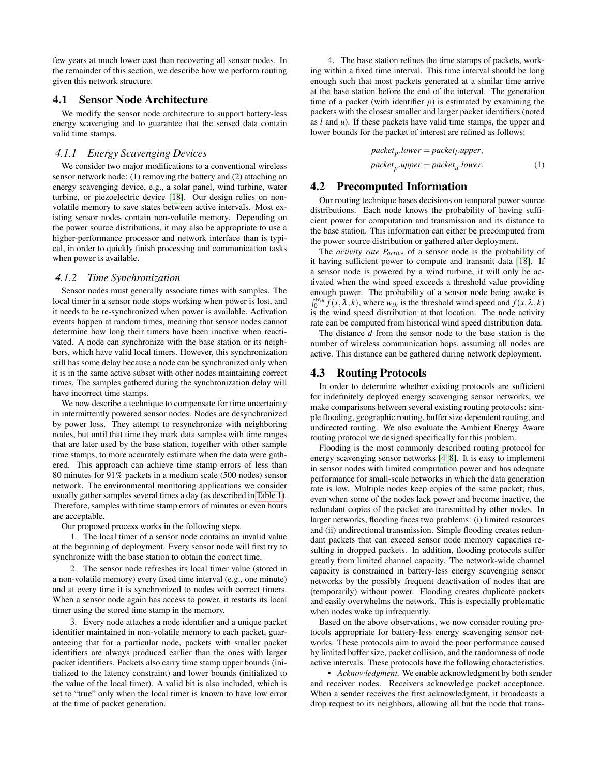few years at much lower cost than recovering all sensor nodes. In the remainder of this section, we describe how we perform routing given this network structure.

#### 4.1 Sensor Node Architecture

We modify the sensor node architecture to support battery-less energy scavenging and to guarantee that the sensed data contain valid time stamps.

## *4.1.1 Energy Scavenging Devices*

We consider two major modifications to a conventional wireless sensor network node: (1) removing the battery and (2) attaching an energy scavenging device, e.g., a solar panel, wind turbine, water turbine, or piezoelectric device [\[18\]](#page-9-17). Our design relies on nonvolatile memory to save states between active intervals. Most existing sensor nodes contain non-volatile memory. Depending on the power source distributions, it may also be appropriate to use a higher-performance processor and network interface than is typical, in order to quickly finish processing and communication tasks when power is available.

#### *4.1.2 Time Synchronization*

Sensor nodes must generally associate times with samples. The local timer in a sensor node stops working when power is lost, and it needs to be re-synchronized when power is available. Activation events happen at random times, meaning that sensor nodes cannot determine how long their timers have been inactive when reactivated. A node can synchronize with the base station or its neighbors, which have valid local timers. However, this synchronization still has some delay because a node can be synchronized only when it is in the same active subset with other nodes maintaining correct times. The samples gathered during the synchronization delay will have incorrect time stamps.

We now describe a technique to compensate for time uncertainty in intermittently powered sensor nodes. Nodes are desynchronized by power loss. They attempt to resynchronize with neighboring nodes, but until that time they mark data samples with time ranges that are later used by the base station, together with other sample time stamps, to more accurately estimate when the data were gathered. This approach can achieve time stamp errors of less than 80 minutes for 91% packets in a medium scale (500 nodes) sensor network. The environmental monitoring applications we consider usually gather samples several times a day (as described in [Table 1\)](#page-6-0). Therefore, samples with time stamp errors of minutes or even hours are acceptable.

Our proposed process works in the following steps.

1. The local timer of a sensor node contains an invalid value at the beginning of deployment. Every sensor node will first try to synchronize with the base station to obtain the correct time.

2. The sensor node refreshes its local timer value (stored in a non-volatile memory) every fixed time interval (e.g., one minute) and at every time it is synchronized to nodes with correct timers. When a sensor node again has access to power, it restarts its local timer using the stored time stamp in the memory.

3. Every node attaches a node identifier and a unique packet identifier maintained in non-volatile memory to each packet, guaranteeing that for a particular node, packets with smaller packet identifiers are always produced earlier than the ones with larger packet identifiers. Packets also carry time stamp upper bounds (initialized to the latency constraint) and lower bounds (initialized to the value of the local timer). A valid bit is also included, which is set to "true" only when the local timer is known to have low error at the time of packet generation.

4. The base station refines the time stamps of packets, working within a fixed time interval. This time interval should be long enough such that most packets generated at a similar time arrive at the base station before the end of the interval. The generation time of a packet (with identifier  $p$ ) is estimated by examining the packets with the closest smaller and larger packet identifiers (noted as *l* and *u*). If these packets have valid time stamps, the upper and lower bounds for the packet of interest are refined as follows:

$$
packet_p.lower = packet_l.upper,
$$
  

$$
packet_p.upper = packet_u.lower.
$$
 (1)

#### <span id="page-3-0"></span>4.2 Precomputed Information

Our routing technique bases decisions on temporal power source distributions. Each node knows the probability of having sufficient power for computation and transmission and its distance to the base station. This information can either be precomputed from the power source distribution or gathered after deployment.

The *activity rate Pactive* of a sensor node is the probability of it having sufficient power to compute and transmit data [\[18\]](#page-9-17). If a sensor node is powered by a wind turbine, it will only be activated when the wind speed exceeds a threshold value providing enough power. The probability of a sensor node being awake is  $\int_0^{w_{th}} f(x, \lambda, k)$ , where  $w_{th}$  is the threshold wind speed and  $f(x, \lambda, k)$ is the wind speed distribution at that location. The node activity rate can be computed from historical wind speed distribution data.

The distance *d* from the sensor node to the base station is the number of wireless communication hops, assuming all nodes are active. This distance can be gathered during network deployment.

#### 4.3 Routing Protocols

In order to determine whether existing protocols are sufficient for indefinitely deployed energy scavenging sensor networks, we make comparisons between several existing routing protocols: simple flooding, geographic routing, buffer size dependent routing, and undirected routing. We also evaluate the Ambient Energy Aware routing protocol we designed specifically for this problem.

Flooding is the most commonly described routing protocol for energy scavenging sensor networks [\[4,](#page-9-3) [8\]](#page-9-7). It is easy to implement in sensor nodes with limited computation power and has adequate performance for small-scale networks in which the data generation rate is low. Multiple nodes keep copies of the same packet; thus, even when some of the nodes lack power and become inactive, the redundant copies of the packet are transmitted by other nodes. In larger networks, flooding faces two problems: (i) limited resources and (ii) undirectional transmission. Simple flooding creates redundant packets that can exceed sensor node memory capacities resulting in dropped packets. In addition, flooding protocols suffer greatly from limited channel capacity. The network-wide channel capacity is constrained in battery-less energy scavenging sensor networks by the possibly frequent deactivation of nodes that are (temporarily) without power. Flooding creates duplicate packets and easily overwhelms the network. This is especially problematic when nodes wake up infrequently.

Based on the above observations, we now consider routing protocols appropriate for battery-less energy scavenging sensor networks. These protocols aim to avoid the poor performance caused by limited buffer size, packet collision, and the randomness of node active intervals. These protocols have the following characteristics.

• *Acknowledgment.* We enable acknowledgment by both sender and receiver nodes. Receivers acknowledge packet acceptance. When a sender receives the first acknowledgment, it broadcasts a drop request to its neighbors, allowing all but the node that trans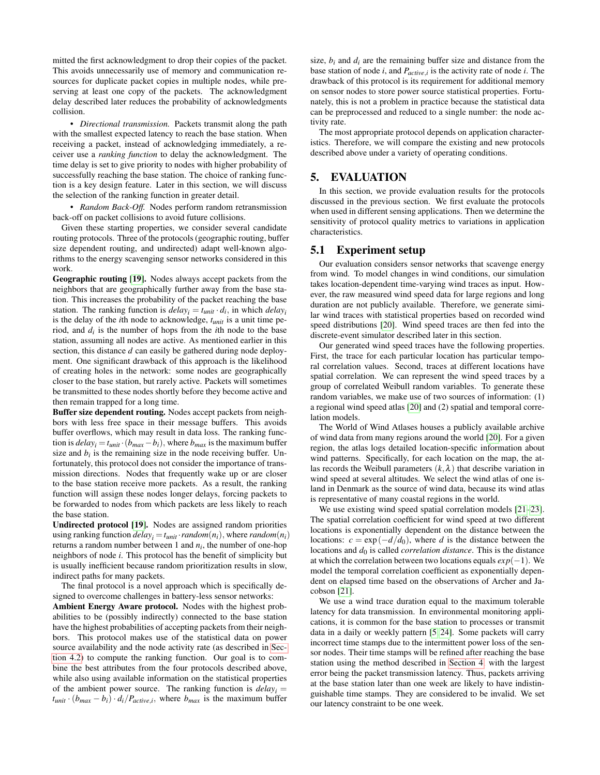mitted the first acknowledgment to drop their copies of the packet. This avoids unnecessarily use of memory and communication resources for duplicate packet copies in multiple nodes, while preserving at least one copy of the packets. The acknowledgment delay described later reduces the probability of acknowledgments collision.

• *Directional transmission.* Packets transmit along the path with the smallest expected latency to reach the base station. When receiving a packet, instead of acknowledging immediately, a receiver use a *ranking function* to delay the acknowledgment. The time delay is set to give priority to nodes with higher probability of successfully reaching the base station. The choice of ranking function is a key design feature. Later in this section, we will discuss the selection of the ranking function in greater detail.

• *Random Back-Off.* Nodes perform random retransmission back-off on packet collisions to avoid future collisions.

Given these starting properties, we consider several candidate routing protocols. Three of the protocols (geographic routing, buffer size dependent routing, and undirected) adapt well-known algorithms to the energy scavenging sensor networks considered in this work.

Geographic routing [\[19\]](#page-9-18). Nodes always accept packets from the neighbors that are geographically further away from the base station. This increases the probability of the packet reaching the base station. The ranking function is  $delay_i = t_{unit} \cdot d_i$ , in which  $delay_i$ is the delay of the *i*th node to acknowledge, *tunit* is a unit time period, and *d<sup>i</sup>* is the number of hops from the *i*th node to the base station, assuming all nodes are active. As mentioned earlier in this section, this distance *d* can easily be gathered during node deployment. One significant drawback of this approach is the likelihood of creating holes in the network: some nodes are geographically closer to the base station, but rarely active. Packets will sometimes be transmitted to these nodes shortly before they become active and then remain trapped for a long time.

Buffer size dependent routing. Nodes accept packets from neighbors with less free space in their message buffers. This avoids buffer overflows, which may result in data loss. The ranking function is  $delay_i = t_{unit} \cdot (b_{max} - b_i)$ , where  $b_{max}$  is the maximum buffer size and  $b_i$  is the remaining size in the node receiving buffer. Unfortunately, this protocol does not consider the importance of transmission directions. Nodes that frequently wake up or are closer to the base station receive more packets. As a result, the ranking function will assign these nodes longer delays, forcing packets to be forwarded to nodes from which packets are less likely to reach the base station.

Undirected protocol [\[19\]](#page-9-18). Nodes are assigned random priorities using ranking function  $delay_i = t_{unit} \cdot random(n_i)$ , where  $random(n_i)$ returns a random number between 1 and *n<sup>i</sup>* , the number of one-hop neighbors of node *i*. This protocol has the benefit of simplicity but is usually inefficient because random prioritization results in slow, indirect paths for many packets.

The final protocol is a novel approach which is specifically designed to overcome challenges in battery-less sensor networks: Ambient Energy Aware protocol. Nodes with the highest probabilities to be (possibly indirectly) connected to the base station

have the highest probabilities of accepting packets from their neighbors. This protocol makes use of the statistical data on power source availability and the node activity rate (as described in [Sec](#page-3-0)[tion 4.2\)](#page-3-0) to compute the ranking function. Our goal is to combine the best attributes from the four protocols described above, while also using available information on the statistical properties of the ambient power source. The ranking function is  $delay_i =$  $t_{unit} \cdot (b_{max} - b_i) \cdot d_i / P_{active,i}$ , where  $b_{max}$  is the maximum buffer

size,  $b_i$  and  $d_i$  are the remaining buffer size and distance from the base station of node *i*, and *Pactive*,*<sup>i</sup>* is the activity rate of node *i*. The drawback of this protocol is its requirement for additional memory on sensor nodes to store power source statistical properties. Fortunately, this is not a problem in practice because the statistical data can be preprocessed and reduced to a single number: the node activity rate.

The most appropriate protocol depends on application characteristics. Therefore, we will compare the existing and new protocols described above under a variety of operating conditions.

# <span id="page-4-0"></span>5. EVALUATION

In this section, we provide evaluation results for the protocols discussed in the previous section. We first evaluate the protocols when used in different sensing applications. Then we determine the sensitivity of protocol quality metrics to variations in application characteristics.

#### <span id="page-4-1"></span>5.1 Experiment setup

Our evaluation considers sensor networks that scavenge energy from wind. To model changes in wind conditions, our simulation takes location-dependent time-varying wind traces as input. However, the raw measured wind speed data for large regions and long duration are not publicly available. Therefore, we generate similar wind traces with statistical properties based on recorded wind speed distributions [\[20\]](#page-9-19). Wind speed traces are then fed into the discrete-event simulator described later in this section.

Our generated wind speed traces have the following properties. First, the trace for each particular location has particular temporal correlation values. Second, traces at different locations have spatial correlation. We can represent the wind speed traces by a group of correlated Weibull random variables. To generate these random variables, we make use of two sources of information: (1) a regional wind speed atlas [\[20\]](#page-9-19) and (2) spatial and temporal correlation models.

The World of Wind Atlases houses a publicly available archive of wind data from many regions around the world [\[20\]](#page-9-19). For a given region, the atlas logs detailed location-specific information about wind patterns. Specifically, for each location on the map, the atlas records the Weibull parameters  $(k, \lambda)$  that describe variation in wind speed at several altitudes. We select the wind atlas of one island in Denmark as the source of wind data, because its wind atlas is representative of many coastal regions in the world.

We use existing wind speed spatial correlation models [\[21–](#page-9-20)[23\]](#page-9-21). The spatial correlation coefficient for wind speed at two different locations is exponentially dependent on the distance between the locations:  $c = \exp(-\frac{d}{d_0})$ , where *d* is the distance between the locations and  $d_0$  is called *correlation distance*. This is the distance at which the correlation between two locations equals  $exp(-1)$ . We model the temporal correlation coefficient as exponentially dependent on elapsed time based on the observations of Archer and Jacobson [\[21\]](#page-9-20).

We use a wind trace duration equal to the maximum tolerable latency for data transmission. In environmental monitoring applications, it is common for the base station to processes or transmit data in a daily or weekly pattern [\[5,](#page-9-4) [24\]](#page-9-22). Some packets will carry incorrect time stamps due to the intermittent power loss of the sensor nodes. Their time stamps will be refined after reaching the base station using the method described in [Section 4,](#page-2-2) with the largest error being the packet transmission latency. Thus, packets arriving at the base station later than one week are likely to have indistinguishable time stamps. They are considered to be invalid. We set our latency constraint to be one week.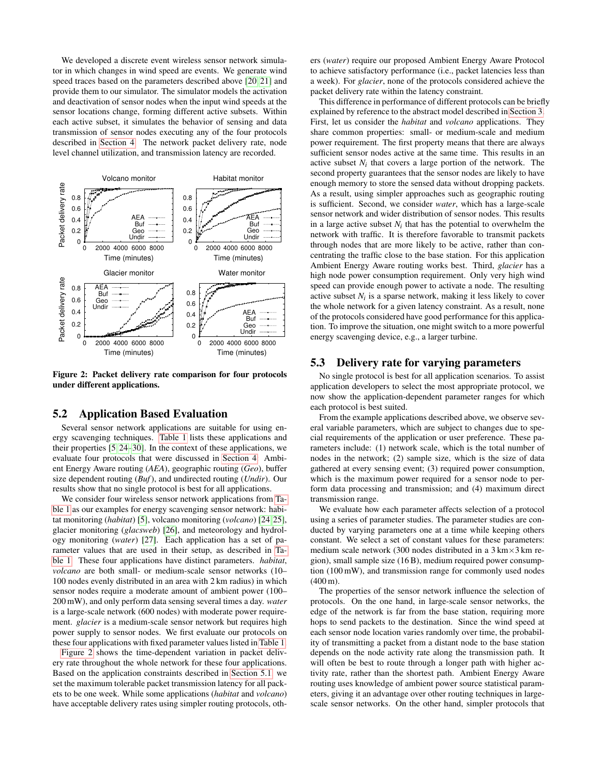We developed a discrete event wireless sensor network simulator in which changes in wind speed are events. We generate wind speed traces based on the parameters described above [\[20,](#page-9-19) [21\]](#page-9-20) and provide them to our simulator. The simulator models the activation and deactivation of sensor nodes when the input wind speeds at the sensor locations change, forming different active subsets. Within each active subset, it simulates the behavior of sensing and data transmission of sensor nodes executing any of the four protocols described in [Section 4.](#page-2-2) The network packet delivery rate, node level channel utilization, and transmission latency are recorded.



<span id="page-5-0"></span>Figure 2: Packet delivery rate comparison for four protocols under different applications.

## 5.2 Application Based Evaluation

Several sensor network applications are suitable for using energy scavenging techniques. [Table 1](#page-6-0) lists these applications and their properties [\[5,](#page-9-4) [24–](#page-9-22)[30\]](#page-9-23). In the context of these applications, we evaluate four protocols that were discussed in [Section 4:](#page-2-2) Ambient Energy Aware routing (*AEA*), geographic routing (*Geo*), buffer size dependent routing (*Buf*), and undirected routing (*Undir*). Our results show that no single protocol is best for all applications.

We consider four wireless sensor network applications from [Ta](#page-6-0)[ble 1](#page-6-0) as our examples for energy scavenging sensor network: habitat monitoring (*habitat*) [\[5\]](#page-9-4), volcano monitoring (*volcano*) [\[24,](#page-9-22)[25\]](#page-9-24), glacier monitoring (*glacsweb*) [\[26\]](#page-9-25), and meteorology and hydrology monitoring (*water*) [\[27\]](#page-9-26). Each application has a set of parameter values that are used in their setup, as described in [Ta](#page-6-0)[ble 1.](#page-6-0) These four applications have distinct parameters. *habitat*, *volcano* are both small- or medium-scale sensor networks (10– 100 nodes evenly distributed in an area with 2 km radius) in which sensor nodes require a moderate amount of ambient power (100– 200 mW), and only perform data sensing several times a day. *water* is a large-scale network (600 nodes) with moderate power requirement. *glacier* is a medium-scale sensor network but requires high power supply to sensor nodes. We first evaluate our protocols on these four applications with fixed parameter values listed in [Table 1.](#page-6-0)

[Figure 2](#page-5-0) shows the time-dependent variation in packet delivery rate throughout the whole network for these four applications. Based on the application constraints described in [Section 5.1,](#page-4-1) we set the maximum tolerable packet transmission latency for all packets to be one week. While some applications (*habitat* and *volcano*) have acceptable delivery rates using simpler routing protocols, others (*water*) require our proposed Ambient Energy Aware Protocol to achieve satisfactory performance (i.e., packet latencies less than a week). For *glacier*, none of the protocols considered achieve the packet delivery rate within the latency constraint.

This difference in performance of different protocols can be briefly explained by reference to the abstract model described in [Section 3.](#page-2-0) First, let us consider the *habitat* and *volcano* applications. They share common properties: small- or medium-scale and medium power requirement. The first property means that there are always sufficient sensor nodes active at the same time. This results in an active subset  $N_i$  that covers a large portion of the network. The second property guarantees that the sensor nodes are likely to have enough memory to store the sensed data without dropping packets. As a result, using simpler approaches such as geographic routing is sufficient. Second, we consider *water*, which has a large-scale sensor network and wider distribution of sensor nodes. This results in a large active subset  $N_i$  that has the potential to overwhelm the network with traffic. It is therefore favorable to transmit packets through nodes that are more likely to be active, rather than concentrating the traffic close to the base station. For this application Ambient Energy Aware routing works best. Third, *glacier* has a high node power consumption requirement. Only very high wind speed can provide enough power to activate a node. The resulting active subset  $N_i$  is a sparse network, making it less likely to cover the whole network for a given latency constraint. As a result, none of the protocols considered have good performance for this application. To improve the situation, one might switch to a more powerful energy scavenging device, e.g., a larger turbine.

## 5.3 Delivery rate for varying parameters

No single protocol is best for all application scenarios. To assist application developers to select the most appropriate protocol, we now show the application-dependent parameter ranges for which each protocol is best suited.

From the example applications described above, we observe several variable parameters, which are subject to changes due to special requirements of the application or user preference. These parameters include: (1) network scale, which is the total number of nodes in the network; (2) sample size, which is the size of data gathered at every sensing event; (3) required power consumption, which is the maximum power required for a sensor node to perform data processing and transmission; and (4) maximum direct transmission range.

We evaluate how each parameter affects selection of a protocol using a series of parameter studies. The parameter studies are conducted by varying parameters one at a time while keeping others constant. We select a set of constant values for these parameters: medium scale network (300 nodes distributed in a  $3 \text{ km} \times 3 \text{ km}$  region), small sample size (16 B), medium required power consumption (100 mW), and transmission range for commonly used nodes (400 m).

The properties of the sensor network influence the selection of protocols. On the one hand, in large-scale sensor networks, the edge of the network is far from the base station, requiring more hops to send packets to the destination. Since the wind speed at each sensor node location varies randomly over time, the probability of transmitting a packet from a distant node to the base station depends on the node activity rate along the transmission path. It will often be best to route through a longer path with higher activity rate, rather than the shortest path. Ambient Energy Aware routing uses knowledge of ambient power source statistical parameters, giving it an advantage over other routing techniques in largescale sensor networks. On the other hand, simpler protocols that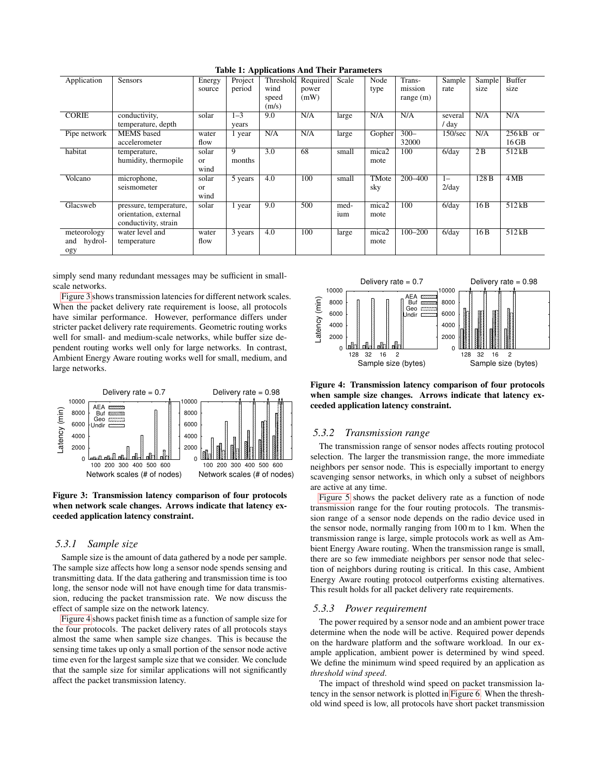| Application    | <b>Sensors</b>         | Energy        | Project | Threshold | Required | Scale | Node                | Trans-      | Sample   | Sample | <b>Buffer</b> |
|----------------|------------------------|---------------|---------|-----------|----------|-------|---------------------|-------------|----------|--------|---------------|
|                |                        | source        | period  | wind      | power    |       | type                | mission     | rate     | size   | size          |
|                |                        |               |         | speed     | (mW)     |       |                     | range $(m)$ |          |        |               |
|                |                        |               |         | (m/s)     |          |       |                     |             |          |        |               |
| <b>CORIE</b>   | conductivity,          | solar         | $1 - 3$ | 9.0       | N/A      | large | N/A                 | N/A         | several  | N/A    | N/A           |
|                | temperature, depth     |               | years   |           |          |       |                     |             | / day    |        |               |
| Pipe network   | <b>MEMS</b> based      | water         | 1 year  | N/A       | N/A      | large | Gopher <sup>1</sup> | $300-$      | 150/sec  | N/A    | $256$ kB or   |
|                | accelerometer          | flow          |         |           |          |       |                     | 32000       |          |        | $16$ GB       |
| habitat        | temperature,           | solar         | 9       | 3.0       | 68       | small | mica2               | 100         | $6$ /day | 2B     | 512 kB        |
|                | humidity, thermopile   | $\alpha$      | months  |           |          |       | mote                |             |          |        |               |
|                |                        | wind          |         |           |          |       |                     |             |          |        |               |
| Volcano        | microphone,            | solar         | 5 years | 4.0       | 100      | small | TMote               | 200-400     | $1 -$    | 128B   | 4MB           |
|                | seismometer            | <sub>or</sub> |         |           |          |       | sky                 |             | 2/day    |        |               |
|                |                        | wind          |         |           |          |       |                     |             |          |        |               |
| Glacsweb       | pressure, temperature, | solar         | 1 year  | 9.0       | 500      | med-  | mica2               | 100         | $6$ /day | 16B    | 512kB         |
|                | orientation, external  |               |         |           |          | ium   | mote                |             |          |        |               |
|                | conductivity, strain   |               |         |           |          |       |                     |             |          |        |               |
| meteorology    | water level and        | water         | 3 years | 4.0       | 100      | large | mica2               | $100 - 200$ | $6$ /day | 16B    | 512 kB        |
| and<br>hydrol- | temperature            | flow          |         |           |          |       | mote                |             |          |        |               |
| ogy            |                        |               |         |           |          |       |                     |             |          |        |               |

<span id="page-6-0"></span>Table 1: Applications And Their Parameters

simply send many redundant messages may be sufficient in smallscale networks.

[Figure 3](#page-6-1) shows transmission latencies for different network scales. When the packet delivery rate requirement is loose, all protocols have similar performance. However, performance differs under stricter packet delivery rate requirements. Geometric routing works well for small- and medium-scale networks, while buffer size dependent routing works well only for large networks. In contrast, Ambient Energy Aware routing works well for small, medium, and large networks.



<span id="page-6-1"></span>Figure 3: Transmission latency comparison of four protocols when network scale changes. Arrows indicate that latency exceeded application latency constraint.

#### *5.3.1 Sample size*

Sample size is the amount of data gathered by a node per sample. The sample size affects how long a sensor node spends sensing and transmitting data. If the data gathering and transmission time is too long, the sensor node will not have enough time for data transmission, reducing the packet transmission rate. We now discuss the effect of sample size on the network latency.

[Figure 4](#page-6-2) shows packet finish time as a function of sample size for the four protocols. The packet delivery rates of all protocols stays almost the same when sample size changes. This is because the sensing time takes up only a small portion of the sensor node active time even for the largest sample size that we consider. We conclude that the sample size for similar applications will not significantly affect the packet transmission latency.



<span id="page-6-2"></span>Figure 4: Transmission latency comparison of four protocols when sample size changes. Arrows indicate that latency exceeded application latency constraint.

#### *5.3.2 Transmission range*

The transmission range of sensor nodes affects routing protocol selection. The larger the transmission range, the more immediate neighbors per sensor node. This is especially important to energy scavenging sensor networks, in which only a subset of neighbors are active at any time.

[Figure 5](#page-7-0) shows the packet delivery rate as a function of node transmission range for the four routing protocols. The transmission range of a sensor node depends on the radio device used in the sensor node, normally ranging from 100 m to 1 km. When the transmission range is large, simple protocols work as well as Ambient Energy Aware routing. When the transmission range is small, there are so few immediate neighbors per sensor node that selection of neighbors during routing is critical. In this case, Ambient Energy Aware routing protocol outperforms existing alternatives. This result holds for all packet delivery rate requirements.

#### *5.3.3 Power requirement*

The power required by a sensor node and an ambient power trace determine when the node will be active. Required power depends on the hardware platform and the software workload. In our example application, ambient power is determined by wind speed. We define the minimum wind speed required by an application as *threshold wind speed*.

The impact of threshold wind speed on packet transmission latency in the sensor network is plotted in [Figure 6.](#page-7-1) When the threshold wind speed is low, all protocols have short packet transmission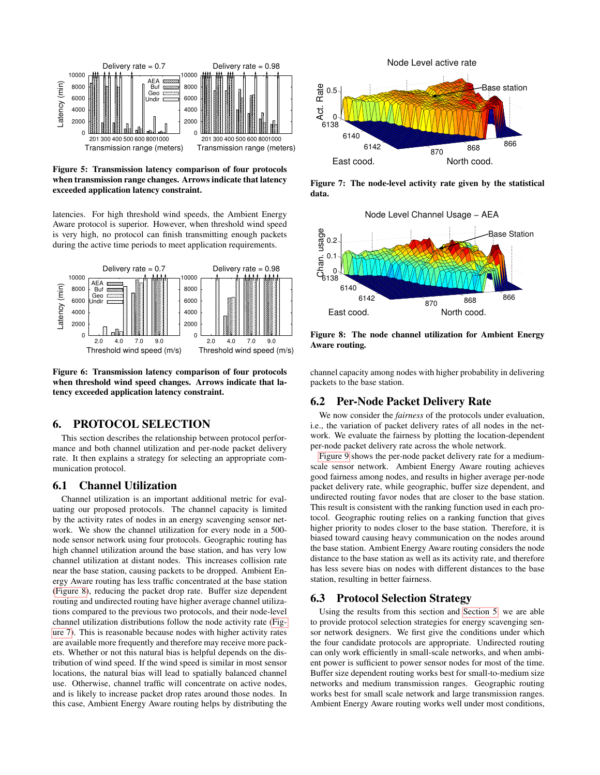

<span id="page-7-0"></span>Figure 5: Transmission latency comparison of four protocols when transmission range changes. Arrows indicate that latency exceeded application latency constraint.

latencies. For high threshold wind speeds, the Ambient Energy Aware protocol is superior. However, when threshold wind speed is very high, no protocol can finish transmitting enough packets during the active time periods to meet application requirements.



<span id="page-7-1"></span>Figure 6: Transmission latency comparison of four protocols when threshold wind speed changes. Arrows indicate that latency exceeded application latency constraint.

## 6. PROTOCOL SELECTION

This section describes the relationship between protocol performance and both channel utilization and per-node packet delivery rate. It then explains a strategy for selecting an appropriate communication protocol.

#### 6.1 Channel Utilization

Channel utilization is an important additional metric for evaluating our proposed protocols. The channel capacity is limited by the activity rates of nodes in an energy scavenging sensor network. We show the channel utilization for every node in a 500 node sensor network using four protocols. Geographic routing has high channel utilization around the base station, and has very low channel utilization at distant nodes. This increases collision rate near the base station, causing packets to be dropped. Ambient Energy Aware routing has less traffic concentrated at the base station [\(Figure 8\)](#page-7-2), reducing the packet drop rate. Buffer size dependent routing and undirected routing have higher average channel utilizations compared to the previous two protocols, and their node-level channel utilization distributions follow the node activity rate [\(Fig](#page-7-3)[ure 7\)](#page-7-3). This is reasonable because nodes with higher activity rates are available more frequently and therefore may receive more packets. Whether or not this natural bias is helpful depends on the distribution of wind speed. If the wind speed is similar in most sensor locations, the natural bias will lead to spatially balanced channel use. Otherwise, channel traffic will concentrate on active nodes, and is likely to increase packet drop rates around those nodes. In this case, Ambient Energy Aware routing helps by distributing the



Figure 7: The node-level activity rate given by the statistical data.

<span id="page-7-3"></span>Node Level Channel Usage − AEA



<span id="page-7-2"></span>Figure 8: The node channel utilization for Ambient Energy Aware routing.

channel capacity among nodes with higher probability in delivering packets to the base station.

## 6.2 Per-Node Packet Delivery Rate

We now consider the *fairness* of the protocols under evaluation, i.e., the variation of packet delivery rates of all nodes in the network. We evaluate the fairness by plotting the location-dependent per-node packet delivery rate across the whole network.

[Figure 9](#page-8-0) shows the per-node packet delivery rate for a mediumscale sensor network. Ambient Energy Aware routing achieves good fairness among nodes, and results in higher average per-node packet delivery rate, while geographic, buffer size dependent, and undirected routing favor nodes that are closer to the base station. This result is consistent with the ranking function used in each protocol. Geographic routing relies on a ranking function that gives higher priority to nodes closer to the base station. Therefore, it is biased toward causing heavy communication on the nodes around the base station. Ambient Energy Aware routing considers the node distance to the base station as well as its activity rate, and therefore has less severe bias on nodes with different distances to the base station, resulting in better fairness.

#### 6.3 Protocol Selection Strategy

Using the results from this section and [Section 5,](#page-4-0) we are able to provide protocol selection strategies for energy scavenging sensor network designers. We first give the conditions under which the four candidate protocols are appropriate. Undirected routing can only work efficiently in small-scale networks, and when ambient power is sufficient to power sensor nodes for most of the time. Buffer size dependent routing works best for small-to-medium size networks and medium transmission ranges. Geographic routing works best for small scale network and large transmission ranges. Ambient Energy Aware routing works well under most conditions,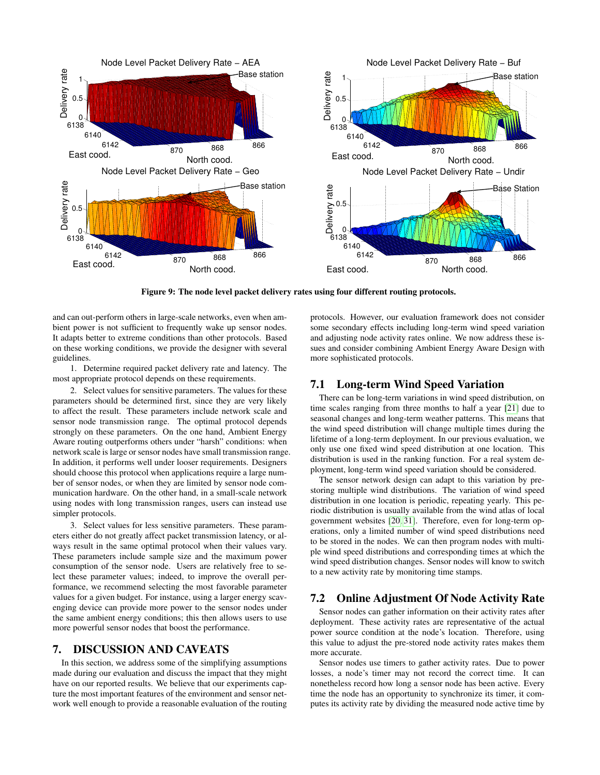

<span id="page-8-0"></span>Figure 9: The node level packet delivery rates using four different routing protocols.

and can out-perform others in large-scale networks, even when ambient power is not sufficient to frequently wake up sensor nodes. It adapts better to extreme conditions than other protocols. Based on these working conditions, we provide the designer with several guidelines.

1. Determine required packet delivery rate and latency. The most appropriate protocol depends on these requirements.

2. Select values for sensitive parameters. The values for these parameters should be determined first, since they are very likely to affect the result. These parameters include network scale and sensor node transmission range. The optimal protocol depends strongly on these parameters. On the one hand, Ambient Energy Aware routing outperforms others under "harsh" conditions: when network scale is large or sensor nodes have small transmission range. In addition, it performs well under looser requirements. Designers should choose this protocol when applications require a large number of sensor nodes, or when they are limited by sensor node communication hardware. On the other hand, in a small-scale network using nodes with long transmission ranges, users can instead use simpler protocols.

3. Select values for less sensitive parameters. These parameters either do not greatly affect packet transmission latency, or always result in the same optimal protocol when their values vary. These parameters include sample size and the maximum power consumption of the sensor node. Users are relatively free to select these parameter values; indeed, to improve the overall performance, we recommend selecting the most favorable parameter values for a given budget. For instance, using a larger energy scavenging device can provide more power to the sensor nodes under the same ambient energy conditions; this then allows users to use more powerful sensor nodes that boost the performance.

#### 7. DISCUSSION AND CAVEATS

In this section, we address some of the simplifying assumptions made during our evaluation and discuss the impact that they might have on our reported results. We believe that our experiments capture the most important features of the environment and sensor network well enough to provide a reasonable evaluation of the routing

protocols. However, our evaluation framework does not consider some secondary effects including long-term wind speed variation and adjusting node activity rates online. We now address these issues and consider combining Ambient Energy Aware Design with more sophisticated protocols.

#### 7.1 Long-term Wind Speed Variation

There can be long-term variations in wind speed distribution, on time scales ranging from three months to half a year [\[21\]](#page-9-20) due to seasonal changes and long-term weather patterns. This means that the wind speed distribution will change multiple times during the lifetime of a long-term deployment. In our previous evaluation, we only use one fixed wind speed distribution at one location. This distribution is used in the ranking function. For a real system deployment, long-term wind speed variation should be considered.

The sensor network design can adapt to this variation by prestoring multiple wind distributions. The variation of wind speed distribution in one location is periodic, repeating yearly. This periodic distribution is usually available from the wind atlas of local government websites [\[20,](#page-9-19) [31\]](#page-9-27). Therefore, even for long-term operations, only a limited number of wind speed distributions need to be stored in the nodes. We can then program nodes with multiple wind speed distributions and corresponding times at which the wind speed distribution changes. Sensor nodes will know to switch to a new activity rate by monitoring time stamps.

## 7.2 Online Adjustment Of Node Activity Rate

Sensor nodes can gather information on their activity rates after deployment. These activity rates are representative of the actual power source condition at the node's location. Therefore, using this value to adjust the pre-stored node activity rates makes them more accurate.

Sensor nodes use timers to gather activity rates. Due to power losses, a node's timer may not record the correct time. It can nonetheless record how long a sensor node has been active. Every time the node has an opportunity to synchronize its timer, it computes its activity rate by dividing the measured node active time by